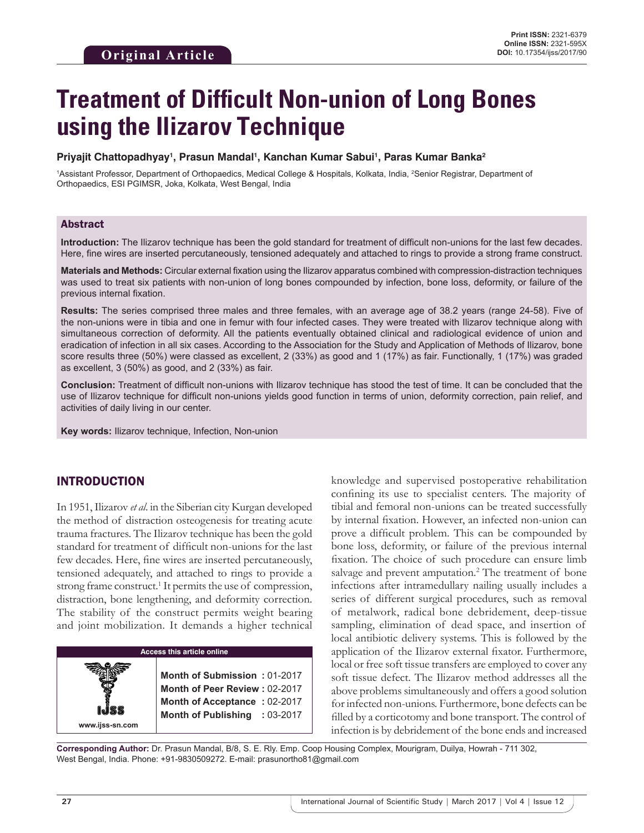# **Treatment of Difficult Non-union of Long Bones using the Ilizarov Technique**

#### **Priyajit Chattopadhyay1 , Prasun Mandal1 , Kanchan Kumar Sabui1 , Paras Kumar Banka2**

<sup>1</sup>Assistant Professor, Department of Orthopaedics, Medical College & Hospitals, Kolkata, India, <sup>2</sup>Senior Registrar, Department of Orthopaedics, ESI PGIMSR, Joka, Kolkata, West Bengal, India

#### Abstract

**Introduction:** The Ilizarov technique has been the gold standard for treatment of difficult non-unions for the last few decades. Here, fine wires are inserted percutaneously, tensioned adequately and attached to rings to provide a strong frame construct.

**Materials and Methods:** Circular external fixation using the Ilizarov apparatus combined with compression-distraction techniques was used to treat six patients with non-union of long bones compounded by infection, bone loss, deformity, or failure of the previous internal fixation.

**Results:** The series comprised three males and three females, with an average age of 38.2 years (range 24-58). Five of the non-unions were in tibia and one in femur with four infected cases. They were treated with Ilizarov technique along with simultaneous correction of deformity. All the patients eventually obtained clinical and radiological evidence of union and eradication of infection in all six cases. According to the Association for the Study and Application of Methods of Ilizarov, bone score results three (50%) were classed as excellent, 2 (33%) as good and 1 (17%) as fair. Functionally, 1 (17%) was graded as excellent, 3 (50%) as good, and 2 (33%) as fair.

**Conclusion:** Treatment of difficult non-unions with Ilizarov technique has stood the test of time. It can be concluded that the use of Ilizarov technique for difficult non-unions yields good function in terms of union, deformity correction, pain relief, and activities of daily living in our center.

**Key words:** Ilizarov technique, Infection, Non-union

# INTRODUCTION

**www.ijss-sn.com**

In 1951, Ilizarov *et al*. in the Siberian city Kurgan developed the method of distraction osteogenesis for treating acute trauma fractures. The Ilizarov technique has been the gold standard for treatment of difficult non-unions for the last few decades. Here, fine wires are inserted percutaneously, tensioned adequately, and attached to rings to provide a strong frame construct.<sup>1</sup> It permits the use of compression, distraction, bone lengthening, and deformity correction. The stability of the construct permits weight bearing and joint mobilization. It demands a higher technical

#### **Access this article online**

**Month of Submission :** 01-2017 **Month of Peer Review :** 02-2017 **Month of Acceptance :** 02-2017 **Month of Publishing :** 03-2017 knowledge and supervised postoperative rehabilitation confining its use to specialist centers. The majority of tibial and femoral non-unions can be treated successfully by internal fixation. However, an infected non-union can prove a difficult problem. This can be compounded by bone loss, deformity, or failure of the previous internal fixation. The choice of such procedure can ensure limb salvage and prevent amputation.<sup>2</sup> The treatment of bone infections after intramedullary nailing usually includes a series of different surgical procedures, such as removal of metalwork, radical bone debridement, deep-tissue sampling, elimination of dead space, and insertion of local antibiotic delivery systems. This is followed by the application of the Ilizarov external fixator. Furthermore, local or free soft tissue transfers are employed to cover any soft tissue defect. The Ilizarov method addresses all the above problems simultaneously and offers a good solution for infected non-unions. Furthermore, bone defects can be filled by a corticotomy and bone transport. The control of infection is by debridement of the bone ends and increased

**Corresponding Author:** Dr. Prasun Mandal, B/8, S. E. Rly. Emp. Coop Housing Complex, Mourigram, Duilya, Howrah - 711 302, West Bengal, India. Phone: +91-9830509272. E-mail: prasunortho81@gmail.com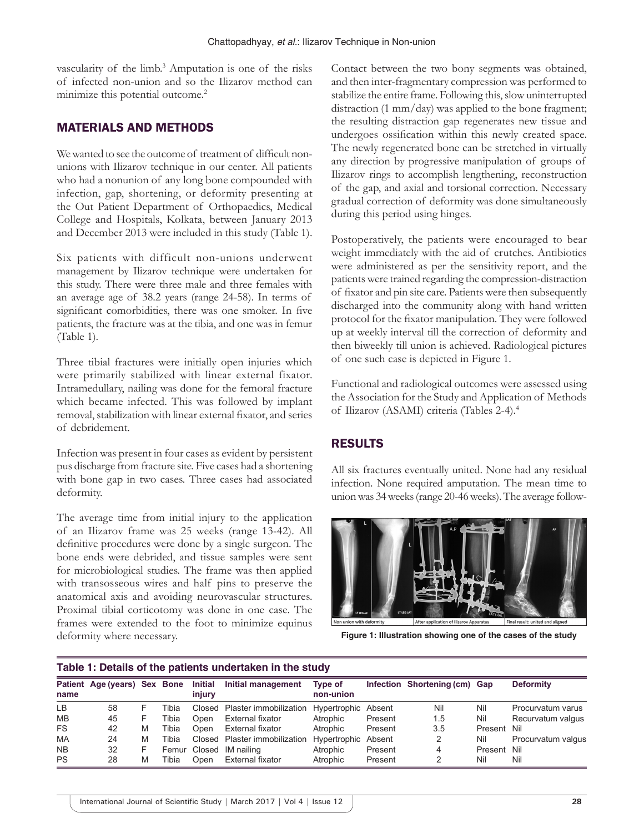vascularity of the limb.<sup>3</sup> Amputation is one of the risks of infected non-union and so the Ilizarov method can minimize this potential outcome.<sup>2</sup>

## MATERIALS AND METHODS

We wanted to see the outcome of treatment of difficult nonunions with Ilizarov technique in our center. All patients who had a nonunion of any long bone compounded with infection, gap, shortening, or deformity presenting at the Out Patient Department of Orthopaedics, Medical College and Hospitals, Kolkata, between January 2013 and December 2013 were included in this study (Table 1).

Six patients with difficult non-unions underwent management by Ilizarov technique were undertaken for this study. There were three male and three females with an average age of 38.2 years (range 24-58). In terms of significant comorbidities, there was one smoker. In five patients, the fracture was at the tibia, and one was in femur (Table 1).

Three tibial fractures were initially open injuries which were primarily stabilized with linear external fixator. Intramedullary, nailing was done for the femoral fracture which became infected. This was followed by implant removal, stabilization with linear external fixator, and series of debridement.

Infection was present in four cases as evident by persistent pus discharge from fracture site. Five cases had a shortening with bone gap in two cases. Three cases had associated deformity.

The average time from initial injury to the application of an Ilizarov frame was 25 weeks (range 13-42). All definitive procedures were done by a single surgeon. The bone ends were debrided, and tissue samples were sent for microbiological studies. The frame was then applied with transosseous wires and half pins to preserve the anatomical axis and avoiding neurovascular structures. Proximal tibial corticotomy was done in one case. The frames were extended to the foot to minimize equinus deformity where necessary.

Contact between the two bony segments was obtained, and then inter-fragmentary compression was performed to stabilize the entire frame. Following this, slow uninterrupted distraction (1 mm/day) was applied to the bone fragment; the resulting distraction gap regenerates new tissue and undergoes ossification within this newly created space. The newly regenerated bone can be stretched in virtually any direction by progressive manipulation of groups of Ilizarov rings to accomplish lengthening, reconstruction of the gap, and axial and torsional correction. Necessary gradual correction of deformity was done simultaneously during this period using hinges.

Postoperatively, the patients were encouraged to bear weight immediately with the aid of crutches. Antibiotics were administered as per the sensitivity report, and the patients were trained regarding the compression-distraction of fixator and pin site care. Patients were then subsequently discharged into the community along with hand written protocol for the fixator manipulation. They were followed up at weekly interval till the correction of deformity and then biweekly till union is achieved. Radiological pictures of one such case is depicted in Figure 1.

Functional and radiological outcomes were assessed using the Association for the Study and Application of Methods of Ilizarov (ASAMI) criteria (Tables 2-4).4

## RESULTS

All six fractures eventually united. None had any residual infection. None required amputation. The mean time to union was 34weeks (range 20-46weeks). The average follow-



**Figure 1: Illustration showing one of the cases of the study**

| Table 1: Details of the patients undertaken in the study |                              |    |       |                   |                               |                      |         |                               |             |                    |  |
|----------------------------------------------------------|------------------------------|----|-------|-------------------|-------------------------------|----------------------|---------|-------------------------------|-------------|--------------------|--|
| name                                                     | Patient Age (years) Sex Bone |    |       | Initial<br>injury | Initial management            | Type of<br>non-union |         | Infection Shortening (cm) Gap |             | <b>Deformity</b>   |  |
| LB.                                                      | 58                           |    | Tibia |                   | Closed Plaster immobilization | Hypertrophic Absent  |         | Nil                           | Nil         | Procurvatum varus  |  |
| <b>MB</b>                                                | 45                           | F. | Tibia | Open              | External fixator              | Atrophic             | Present | 1.5                           | Nil         | Recurvatum valgus  |  |
| <b>FS</b>                                                | 42                           | M  | Tibia | Open              | External fixator              | Atrophic             | Present | 3.5                           | Present Nil |                    |  |
| MA                                                       | 24                           | M  | Tibia |                   | Closed Plaster immobilization | Hypertrophic Absent  |         | 2                             | Nil         | Procurvatum valgus |  |
| <b>NB</b>                                                | 32                           | F  |       | Femur Closed      | IM nailing                    | Atrophic             | Present | 4                             | Present Nil |                    |  |
| <b>PS</b>                                                | 28                           | M  | Tibia | Open              | External fixator              | Atrophic             | Present |                               | Nil         | Nil                |  |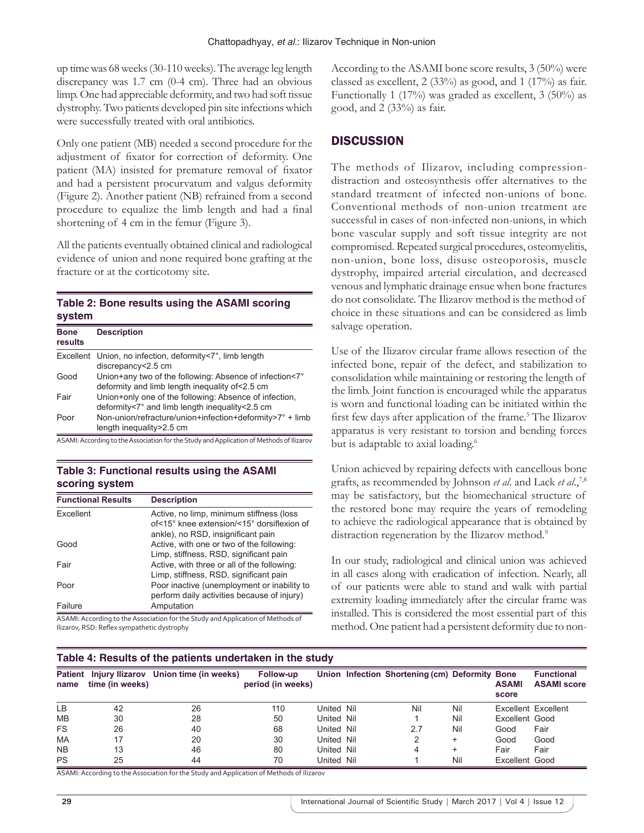up time was 68weeks (30-110weeks). The average leg length discrepancy was 1.7 cm (0-4 cm). Three had an obvious limp. One had appreciable deformity, and two had soft tissue dystrophy. Two patients developed pin site infections which were successfully treated with oral antibiotics.

Only one patient (MB) needed a second procedure for the adjustment of fixator for correction of deformity. One patient (MA) insisted for premature removal of fixator and had a persistent procurvatum and valgus deformity (Figure 2). Another patient (NB) refrained from a second procedure to equalize the limb length and had a final shortening of 4 cm in the femur (Figure 3).

All the patients eventually obtained clinical and radiological evidence of union and none required bone grafting at the fracture or at the corticotomy site.

#### **Table 2: Bone results using the ASAMI scoring system**

| <b>Bone</b><br>results | <b>Description</b>                                                                                          |
|------------------------|-------------------------------------------------------------------------------------------------------------|
|                        | Excellent Union, no infection, deformity<7°, limb length<br>discrepancy<2.5 cm                              |
| Good                   | Union+any two of the following: Absence of infection<7°<br>deformity and limb length inequality of < 2.5 cm |
| Fair                   | Union+only one of the following: Absence of infection,<br>deformity<7° and limb length inequality<2.5 cm    |
| Poor                   | Non-union/refracture/union+infection+deformity>7° + limb<br>length inequality > 2.5 cm                      |

ASAMI: According to the Association for the Study and Application of Methods of Ilizarov

#### **Table 3: Functional results using the ASAMI scoring system**

| <b>Functional Results</b> | <b>Description</b>                                                                                                           |
|---------------------------|------------------------------------------------------------------------------------------------------------------------------|
| Excellent                 | Active, no limp, minimum stiffness (loss<br>of<15° knee extension/<15° dorsiflexion of<br>ankle), no RSD, insignificant pain |
| Good                      | Active, with one or two of the following:<br>Limp, stiffness, RSD, significant pain                                          |
| Fair                      | Active, with three or all of the following:<br>Limp, stiffness, RSD, significant pain                                        |
| Poor                      | Poor inactive (unemployment or inability to<br>perform daily activities because of injury)                                   |
| Failure                   | Amputation                                                                                                                   |

ASAMI: According to the Association for the Study and Application of Methods of Ilizarov, RSD: Reflex sympathetic dystrophy

According to the ASAMI bone score results, 3 (50%) were classed as excellent, 2 (33%) as good, and 1 (17%) as fair. Functionally 1 (17%) was graded as excellent, 3 (50%) as good, and  $2(33%)$  as fair.

# **DISCUSSION**

The methods of Ilizarov, including compressiondistraction and osteosynthesis offer alternatives to the standard treatment of infected non-unions of bone. Conventional methods of non-union treatment are successful in cases of non-infected non-unions, in which bone vascular supply and soft tissue integrity are not compromised. Repeated surgical procedures, osteomyelitis, non-union, bone loss, disuse osteoporosis, muscle dystrophy, impaired arterial circulation, and decreased venous and lymphatic drainage ensue when bone fractures do not consolidate. The Ilizarov method is the method of choice in these situations and can be considered as limb salvage operation.

Use of the Ilizarov circular frame allows resection of the infected bone, repair of the defect, and stabilization to consolidation while maintaining or restoring the length of the limb. Joint function is encouraged while the apparatus is worn and functional loading can be initiated within the first few days after application of the frame.<sup>5</sup> The Ilizarov apparatus is very resistant to torsion and bending forces but is adaptable to axial loading.<sup>6</sup>

Union achieved by repairing defects with cancellous bone grafts, as recommended by Johnson *et al*. and Lack *et al*.,7,8 may be satisfactory, but the biomechanical structure of the restored bone may require the years of remodeling to achieve the radiological appearance that is obtained by distraction regeneration by the Ilizarov method.<sup>9</sup>

In our study, radiological and clinical union was achieved in all cases along with eradication of infection. Nearly, all of our patients were able to stand and walk with partial extremity loading immediately after the circular frame was installed. This is considered the most essential part of this method. One patient had a persistent deformity due to non-

### **Table 4: Results of the patients undertaken in the study**

| <b>Patient</b><br>name | time (in weeks) | Injury Ilizarov Union time (in weeks) | Follow-up<br>period (in weeks) |            | Union Infection Shortening (cm) Deformity Bone |     | <b>ASAMI</b><br>score | <b>Functional</b><br><b>ASAMI score</b> |
|------------------------|-----------------|---------------------------------------|--------------------------------|------------|------------------------------------------------|-----|-----------------------|-----------------------------------------|
| LВ                     | 42              | 26                                    | 110                            | United Nil | Nil                                            | Nil |                       | Excellent Excellent                     |
| <b>MB</b>              | 30              | 28                                    | 50                             | United Nil |                                                | Nil | Excellent Good        |                                         |
| <b>FS</b>              | 26              | 40                                    | 68                             | United Nil | 27                                             | Nil | Good                  | Fair                                    |
| MA                     |                 | 20                                    | 30                             | United Nil |                                                | +   | Good                  | Good                                    |
| <b>NB</b>              | 13              | 46                                    | 80                             | United Nil | 4                                              | ٠   | Fair                  | Fair                                    |
| <b>PS</b>              | 25              | 44                                    | 70                             | United Nil |                                                | Nil | Excellent Good        |                                         |

ASAMI: According to the Association for the Study and Application of Methods of Ilizarov